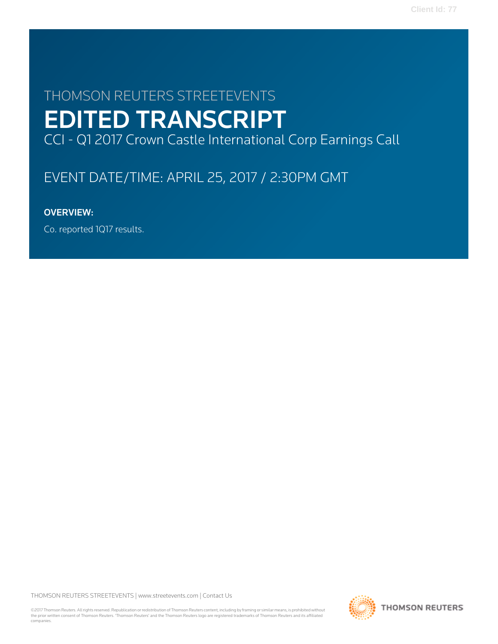# THOMSON REUTERS STREETEVENTS EDITED TRANSCRIPT CCI - Q1 2017 Crown Castle International Corp Earnings Call

# EVENT DATE/TIME: APRIL 25, 2017 / 2:30PM GMT

## OVERVIEW:

Co. reported 1Q17 results.

THOMSON REUTERS STREETEVENTS | [www.streetevents.com](http://www.streetevents.com) | [Contact Us](http://www010.streetevents.com/contact.asp)

©2017 Thomson Reuters. All rights reserved. Republication or redistribution of Thomson Reuters content, including by framing or similar means, is prohibited without the prior written consent of Thomson Reuters. 'Thomson Reuters' and the Thomson Reuters logo are registered trademarks of Thomson Reuters and its affiliated companies.

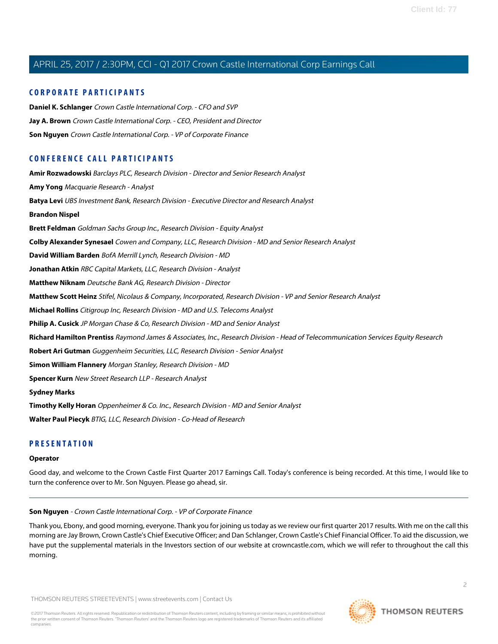#### **CORPORATE PARTICIPANTS**

**[Daniel K. Schlanger](#page-3-0)** Crown Castle International Corp. - CFO and SVP **[Jay A. Brown](#page-2-0)** Crown Castle International Corp. - CEO, President and Director **[Son Nguyen](#page-1-0)** Crown Castle International Corp. - VP of Corporate Finance

### **CONFERENCE CALL PARTICIPANTS**

**[Amir Rozwadowski](#page-9-0)** Barclays PLC, Research Division - Director and Senior Research Analyst **[Amy Yong](#page-15-0)** Macquarie Research - Analyst **[Batya Levi](#page-16-0)** UBS Investment Bank, Research Division - Executive Director and Research Analyst **[Brandon Nispel](#page-19-0) [Brett Feldman](#page-4-0)** Goldman Sachs Group Inc., Research Division - Equity Analyst **[Colby Alexander Synesael](#page-10-0)** Cowen and Company, LLC, Research Division - MD and Senior Research Analyst **[David William Barden](#page-6-0)** BofA Merrill Lynch, Research Division - MD **[Jonathan Atkin](#page-7-0)** RBC Capital Markets, LLC, Research Division - Analyst **[Matthew Niknam](#page-12-0)** Deutsche Bank AG, Research Division - Director **[Matthew Scott Heinz](#page-12-1)** Stifel, Nicolaus & Company, Incorporated, Research Division - VP and Senior Research Analyst **[Michael Rollins](#page-13-0)** Citigroup Inc, Research Division - MD and U.S. Telecoms Analyst **[Philip A. Cusick](#page-8-0)** JP Morgan Chase & Co, Research Division - MD and Senior Analyst **[Richard Hamilton Prentiss](#page-6-1)** Raymond James & Associates, Inc., Research Division - Head of Telecommunication Services Equity Research **[Robert Ari Gutman](#page-17-0)** Guggenheim Securities, LLC, Research Division - Senior Analyst **[Simon William Flannery](#page-5-0)** Morgan Stanley, Research Division - MD **[Spencer Kurn](#page-20-0)** New Street Research LLP - Research Analyst **[Sydney Marks](#page-21-0) [Timothy Kelly Horan](#page-14-0)** Oppenheimer & Co. Inc., Research Division - MD and Senior Analyst **[Walter Paul Piecyk](#page-18-0)** BTIG, LLC, Research Division - Co-Head of Research

### **PRESENTATION**

#### <span id="page-1-0"></span>**Operator**

Good day, and welcome to the Crown Castle First Quarter 2017 Earnings Call. Today's conference is being recorded. At this time, I would like to turn the conference over to Mr. Son Nguyen. Please go ahead, sir.

#### **Son Nguyen** - Crown Castle International Corp. - VP of Corporate Finance

Thank you, Ebony, and good morning, everyone. Thank you for joining us today as we review our first quarter 2017 results. With me on the call this morning are Jay Brown, Crown Castle's Chief Executive Officer; and Dan Schlanger, Crown Castle's Chief Financial Officer. To aid the discussion, we have put the supplemental materials in the Investors section of our website at crowncastle.com, which we will refer to throughout the call this morning.

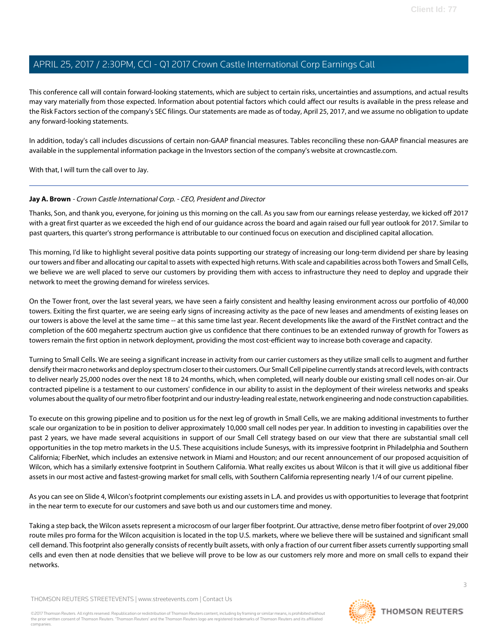This conference call will contain forward-looking statements, which are subject to certain risks, uncertainties and assumptions, and actual results may vary materially from those expected. Information about potential factors which could affect our results is available in the press release and the Risk Factors section of the company's SEC filings. Our statements are made as of today, April 25, 2017, and we assume no obligation to update any forward-looking statements.

In addition, today's call includes discussions of certain non-GAAP financial measures. Tables reconciling these non-GAAP financial measures are available in the supplemental information package in the Investors section of the company's website at crowncastle.com.

<span id="page-2-0"></span>With that, I will turn the call over to Jay.

### **Jay A. Brown** - Crown Castle International Corp. - CEO, President and Director

Thanks, Son, and thank you, everyone, for joining us this morning on the call. As you saw from our earnings release yesterday, we kicked off 2017 with a great first quarter as we exceeded the high end of our guidance across the board and again raised our full year outlook for 2017. Similar to past quarters, this quarter's strong performance is attributable to our continued focus on execution and disciplined capital allocation.

This morning, I'd like to highlight several positive data points supporting our strategy of increasing our long-term dividend per share by leasing our towers and fiber and allocating our capital to assets with expected high returns. With scale and capabilities across both Towers and Small Cells, we believe we are well placed to serve our customers by providing them with access to infrastructure they need to deploy and upgrade their network to meet the growing demand for wireless services.

On the Tower front, over the last several years, we have seen a fairly consistent and healthy leasing environment across our portfolio of 40,000 towers. Exiting the first quarter, we are seeing early signs of increasing activity as the pace of new leases and amendments of existing leases on our towers is above the level at the same time -- at this same time last year. Recent developments like the award of the FirstNet contract and the completion of the 600 megahertz spectrum auction give us confidence that there continues to be an extended runway of growth for Towers as towers remain the first option in network deployment, providing the most cost-efficient way to increase both coverage and capacity.

Turning to Small Cells. We are seeing a significant increase in activity from our carrier customers as they utilize small cells to augment and further densify their macro networks and deploy spectrum closer to their customers. Our Small Cell pipeline currently stands at record levels, with contracts to deliver nearly 25,000 nodes over the next 18 to 24 months, which, when completed, will nearly double our existing small cell nodes on-air. Our contracted pipeline is a testament to our customers' confidence in our ability to assist in the deployment of their wireless networks and speaks volumes about the quality of our metro fiber footprint and our industry-leading real estate, network engineering and node construction capabilities.

To execute on this growing pipeline and to position us for the next leg of growth in Small Cells, we are making additional investments to further scale our organization to be in position to deliver approximately 10,000 small cell nodes per year. In addition to investing in capabilities over the past 2 years, we have made several acquisitions in support of our Small Cell strategy based on our view that there are substantial small cell opportunities in the top metro markets in the U.S. These acquisitions include Sunesys, with its impressive footprint in Philadelphia and Southern California; FiberNet, which includes an extensive network in Miami and Houston; and our recent announcement of our proposed acquisition of Wilcon, which has a similarly extensive footprint in Southern California. What really excites us about Wilcon is that it will give us additional fiber assets in our most active and fastest-growing market for small cells, with Southern California representing nearly 1/4 of our current pipeline.

As you can see on Slide 4, Wilcon's footprint complements our existing assets in L.A. and provides us with opportunities to leverage that footprint in the near term to execute for our customers and save both us and our customers time and money.

Taking a step back, the Wilcon assets represent a microcosm of our larger fiber footprint. Our attractive, dense metro fiber footprint of over 29,000 route miles pro forma for the Wilcon acquisition is located in the top U.S. markets, where we believe there will be sustained and significant small cell demand. This footprint also generally consists of recently built assets, with only a fraction of our current fiber assets currently supporting small cells and even then at node densities that we believe will prove to be low as our customers rely more and more on small cells to expand their networks.

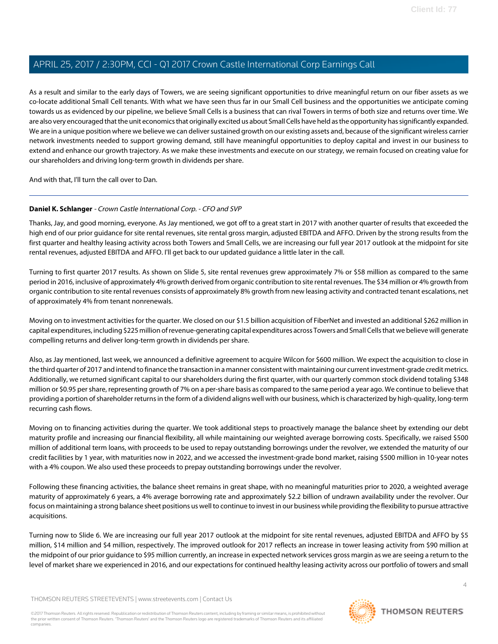As a result and similar to the early days of Towers, we are seeing significant opportunities to drive meaningful return on our fiber assets as we co-locate additional Small Cell tenants. With what we have seen thus far in our Small Cell business and the opportunities we anticipate coming towards us as evidenced by our pipeline, we believe Small Cells is a business that can rival Towers in terms of both size and returns over time. We are also very encouraged that the unit economics that originally excited us about Small Cells have held as the opportunity has significantly expanded. We are in a unique position where we believe we can deliver sustained growth on our existing assets and, because of the significant wireless carrier network investments needed to support growing demand, still have meaningful opportunities to deploy capital and invest in our business to extend and enhance our growth trajectory. As we make these investments and execute on our strategy, we remain focused on creating value for our shareholders and driving long-term growth in dividends per share.

<span id="page-3-0"></span>And with that, I'll turn the call over to Dan.

#### **Daniel K. Schlanger** - Crown Castle International Corp. - CFO and SVP

Thanks, Jay, and good morning, everyone. As Jay mentioned, we got off to a great start in 2017 with another quarter of results that exceeded the high end of our prior guidance for site rental revenues, site rental gross margin, adjusted EBITDA and AFFO. Driven by the strong results from the first quarter and healthy leasing activity across both Towers and Small Cells, we are increasing our full year 2017 outlook at the midpoint for site rental revenues, adjusted EBITDA and AFFO. I'll get back to our updated guidance a little later in the call.

Turning to first quarter 2017 results. As shown on Slide 5, site rental revenues grew approximately 7% or \$58 million as compared to the same period in 2016, inclusive of approximately 4% growth derived from organic contribution to site rental revenues. The \$34 million or 4% growth from organic contribution to site rental revenues consists of approximately 8% growth from new leasing activity and contracted tenant escalations, net of approximately 4% from tenant nonrenewals.

Moving on to investment activities for the quarter. We closed on our \$1.5 billion acquisition of FiberNet and invested an additional \$262 million in capital expenditures, including \$225 million of revenue-generating capital expenditures across Towers and Small Cells that we believe will generate compelling returns and deliver long-term growth in dividends per share.

Also, as Jay mentioned, last week, we announced a definitive agreement to acquire Wilcon for \$600 million. We expect the acquisition to close in the third quarter of 2017 and intend to finance the transaction in a manner consistent with maintaining our current investment-grade credit metrics. Additionally, we returned significant capital to our shareholders during the first quarter, with our quarterly common stock dividend totaling \$348 million or \$0.95 per share, representing growth of 7% on a per-share basis as compared to the same period a year ago. We continue to believe that providing a portion of shareholder returns in the form of a dividend aligns well with our business, which is characterized by high-quality, long-term recurring cash flows.

Moving on to financing activities during the quarter. We took additional steps to proactively manage the balance sheet by extending our debt maturity profile and increasing our financial flexibility, all while maintaining our weighted average borrowing costs. Specifically, we raised \$500 million of additional term loans, with proceeds to be used to repay outstanding borrowings under the revolver, we extended the maturity of our credit facilities by 1 year, with maturities now in 2022, and we accessed the investment-grade bond market, raising \$500 million in 10-year notes with a 4% coupon. We also used these proceeds to prepay outstanding borrowings under the revolver.

Following these financing activities, the balance sheet remains in great shape, with no meaningful maturities prior to 2020, a weighted average maturity of approximately 6 years, a 4% average borrowing rate and approximately \$2.2 billion of undrawn availability under the revolver. Our focus on maintaining a strong balance sheet positions us well to continue to invest in our business while providing the flexibility to pursue attractive acquisitions.

Turning now to Slide 6. We are increasing our full year 2017 outlook at the midpoint for site rental revenues, adjusted EBITDA and AFFO by \$5 million, \$14 million and \$4 million, respectively. The improved outlook for 2017 reflects an increase in tower leasing activity from \$90 million at the midpoint of our prior guidance to \$95 million currently, an increase in expected network services gross margin as we are seeing a return to the level of market share we experienced in 2016, and our expectations for continued healthy leasing activity across our portfolio of towers and small

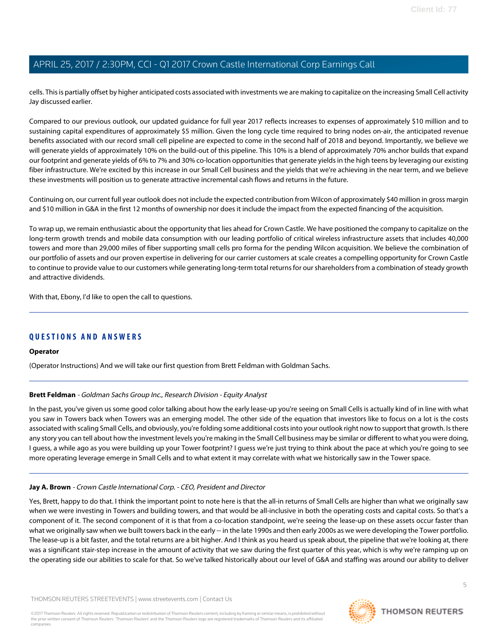cells. This is partially offset by higher anticipated costs associated with investments we are making to capitalize on the increasing Small Cell activity Jay discussed earlier.

Compared to our previous outlook, our updated guidance for full year 2017 reflects increases to expenses of approximately \$10 million and to sustaining capital expenditures of approximately \$5 million. Given the long cycle time required to bring nodes on-air, the anticipated revenue benefits associated with our record small cell pipeline are expected to come in the second half of 2018 and beyond. Importantly, we believe we will generate yields of approximately 10% on the build-out of this pipeline. This 10% is a blend of approximately 70% anchor builds that expand our footprint and generate yields of 6% to 7% and 30% co-location opportunities that generate yields in the high teens by leveraging our existing fiber infrastructure. We're excited by this increase in our Small Cell business and the yields that we're achieving in the near term, and we believe these investments will position us to generate attractive incremental cash flows and returns in the future.

Continuing on, our current full year outlook does not include the expected contribution from Wilcon of approximately \$40 million in gross margin and \$10 million in G&A in the first 12 months of ownership nor does it include the impact from the expected financing of the acquisition.

To wrap up, we remain enthusiastic about the opportunity that lies ahead for Crown Castle. We have positioned the company to capitalize on the long-term growth trends and mobile data consumption with our leading portfolio of critical wireless infrastructure assets that includes 40,000 towers and more than 29,000 miles of fiber supporting small cells pro forma for the pending Wilcon acquisition. We believe the combination of our portfolio of assets and our proven expertise in delivering for our carrier customers at scale creates a compelling opportunity for Crown Castle to continue to provide value to our customers while generating long-term total returns for our shareholders from a combination of steady growth and attractive dividends.

With that, Ebony, I'd like to open the call to questions.

### **QUESTIONS AND ANSWERS**

#### <span id="page-4-0"></span>**Operator**

(Operator Instructions) And we will take our first question from Brett Feldman with Goldman Sachs.

#### **Brett Feldman** - Goldman Sachs Group Inc., Research Division - Equity Analyst

In the past, you've given us some good color talking about how the early lease-up you're seeing on Small Cells is actually kind of in line with what you saw in Towers back when Towers was an emerging model. The other side of the equation that investors like to focus on a lot is the costs associated with scaling Small Cells, and obviously, you're folding some additional costs into your outlook right now to support that growth. Is there any story you can tell about how the investment levels you're making in the Small Cell business may be similar or different to what you were doing, I guess, a while ago as you were building up your Tower footprint? I guess we're just trying to think about the pace at which you're going to see more operating leverage emerge in Small Cells and to what extent it may correlate with what we historically saw in the Tower space.

#### **Jay A. Brown** - Crown Castle International Corp. - CEO, President and Director

Yes, Brett, happy to do that. I think the important point to note here is that the all-in returns of Small Cells are higher than what we originally saw when we were investing in Towers and building towers, and that would be all-inclusive in both the operating costs and capital costs. So that's a component of it. The second component of it is that from a co-location standpoint, we're seeing the lease-up on these assets occur faster than what we originally saw when we built towers back in the early -- in the late 1990s and then early 2000s as we were developing the Tower portfolio. The lease-up is a bit faster, and the total returns are a bit higher. And I think as you heard us speak about, the pipeline that we're looking at, there was a significant stair-step increase in the amount of activity that we saw during the first quarter of this year, which is why we're ramping up on the operating side our abilities to scale for that. So we've talked historically about our level of G&A and staffing was around our ability to deliver

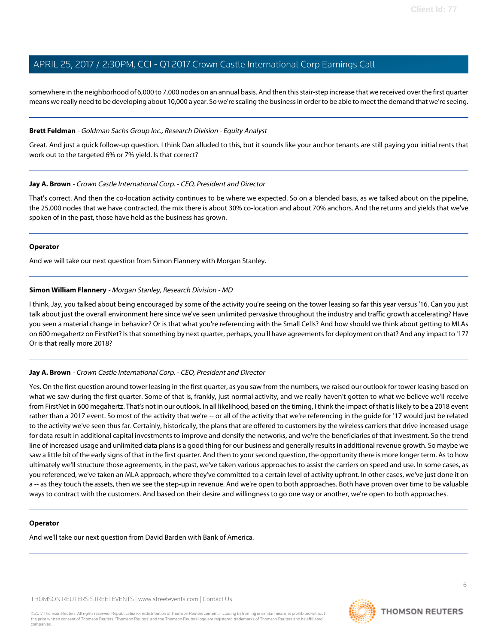somewhere in the neighborhood of 6,000 to 7,000 nodes on an annual basis. And then this stair-step increase that we received over the first quarter means we really need to be developing about 10,000 a year. So we're scaling the business in order to be able to meet the demand that we're seeing.

#### **Brett Feldman** - Goldman Sachs Group Inc., Research Division - Equity Analyst

Great. And just a quick follow-up question. I think Dan alluded to this, but it sounds like your anchor tenants are still paying you initial rents that work out to the targeted 6% or 7% yield. Is that correct?

#### **Jay A. Brown** - Crown Castle International Corp. - CEO, President and Director

That's correct. And then the co-location activity continues to be where we expected. So on a blended basis, as we talked about on the pipeline, the 25,000 nodes that we have contracted, the mix there is about 30% co-location and about 70% anchors. And the returns and yields that we've spoken of in the past, those have held as the business has grown.

#### **Operator**

<span id="page-5-0"></span>And we will take our next question from Simon Flannery with Morgan Stanley.

#### **Simon William Flannery** - Morgan Stanley, Research Division - MD

I think, Jay, you talked about being encouraged by some of the activity you're seeing on the tower leasing so far this year versus '16. Can you just talk about just the overall environment here since we've seen unlimited pervasive throughout the industry and traffic growth accelerating? Have you seen a material change in behavior? Or is that what you're referencing with the Small Cells? And how should we think about getting to MLAs on 600 megahertz on FirstNet? Is that something by next quarter, perhaps, you'll have agreements for deployment on that? And any impact to '17? Or is that really more 2018?

#### **Jay A. Brown** - Crown Castle International Corp. - CEO, President and Director

Yes. On the first question around tower leasing in the first quarter, as you saw from the numbers, we raised our outlook for tower leasing based on what we saw during the first quarter. Some of that is, frankly, just normal activity, and we really haven't gotten to what we believe we'll receive from FirstNet in 600 megahertz. That's not in our outlook. In all likelihood, based on the timing, I think the impact of that is likely to be a 2018 event rather than a 2017 event. So most of the activity that we're -- or all of the activity that we're referencing in the guide for '17 would just be related to the activity we've seen thus far. Certainly, historically, the plans that are offered to customers by the wireless carriers that drive increased usage for data result in additional capital investments to improve and densify the networks, and we're the beneficiaries of that investment. So the trend line of increased usage and unlimited data plans is a good thing for our business and generally results in additional revenue growth. So maybe we saw a little bit of the early signs of that in the first quarter. And then to your second question, the opportunity there is more longer term. As to how ultimately we'll structure those agreements, in the past, we've taken various approaches to assist the carriers on speed and use. In some cases, as you referenced, we've taken an MLA approach, where they've committed to a certain level of activity upfront. In other cases, we've just done it on a -- as they touch the assets, then we see the step-up in revenue. And we're open to both approaches. Both have proven over time to be valuable ways to contract with the customers. And based on their desire and willingness to go one way or another, we're open to both approaches.

#### **Operator**

And we'll take our next question from David Barden with Bank of America.

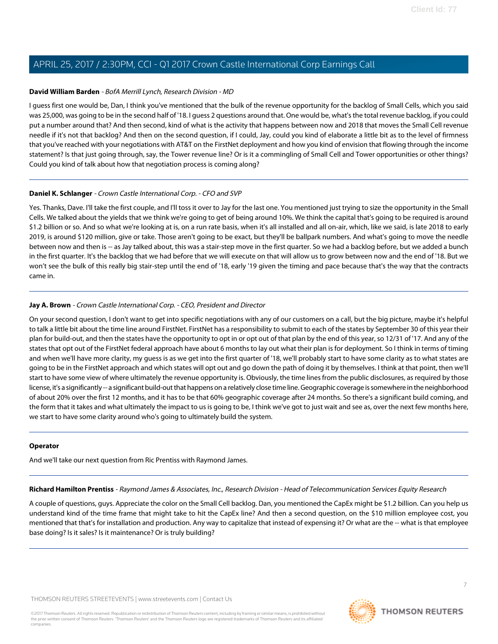#### <span id="page-6-0"></span>**David William Barden** - BofA Merrill Lynch, Research Division - MD

I guess first one would be, Dan, I think you've mentioned that the bulk of the revenue opportunity for the backlog of Small Cells, which you said was 25,000, was going to be in the second half of '18. I guess 2 questions around that. One would be, what's the total revenue backlog, if you could put a number around that? And then second, kind of what is the activity that happens between now and 2018 that moves the Small Cell revenue needle if it's not that backlog? And then on the second question, if I could, Jay, could you kind of elaborate a little bit as to the level of firmness that you've reached with your negotiations with AT&T on the FirstNet deployment and how you kind of envision that flowing through the income statement? Is that just going through, say, the Tower revenue line? Or is it a commingling of Small Cell and Tower opportunities or other things? Could you kind of talk about how that negotiation process is coming along?

#### **Daniel K. Schlanger** - Crown Castle International Corp. - CFO and SVP

Yes. Thanks, Dave. I'll take the first couple, and I'll toss it over to Jay for the last one. You mentioned just trying to size the opportunity in the Small Cells. We talked about the yields that we think we're going to get of being around 10%. We think the capital that's going to be required is around \$1.2 billion or so. And so what we're looking at is, on a run rate basis, when it's all installed and all on-air, which, like we said, is late 2018 to early 2019, is around \$120 million, give or take. Those aren't going to be exact, but they'll be ballpark numbers. And what's going to move the needle between now and then is -- as Jay talked about, this was a stair-step move in the first quarter. So we had a backlog before, but we added a bunch in the first quarter. It's the backlog that we had before that we will execute on that will allow us to grow between now and the end of '18. But we won't see the bulk of this really big stair-step until the end of '18, early '19 given the timing and pace because that's the way that the contracts came in.

#### **Jay A. Brown** - Crown Castle International Corp. - CEO, President and Director

On your second question, I don't want to get into specific negotiations with any of our customers on a call, but the big picture, maybe it's helpful to talk a little bit about the time line around FirstNet. FirstNet has a responsibility to submit to each of the states by September 30 of this year their plan for build-out, and then the states have the opportunity to opt in or opt out of that plan by the end of this year, so 12/31 of '17. And any of the states that opt out of the FirstNet federal approach have about 6 months to lay out what their plan is for deployment. So I think in terms of timing and when we'll have more clarity, my guess is as we get into the first quarter of '18, we'll probably start to have some clarity as to what states are going to be in the FirstNet approach and which states will opt out and go down the path of doing it by themselves. I think at that point, then we'll start to have some view of where ultimately the revenue opportunity is. Obviously, the time lines from the public disclosures, as required by those license, it's a significantly -- a significant build-out that happens on a relatively close time line. Geographic coverage is somewhere in the neighborhood of about 20% over the first 12 months, and it has to be that 60% geographic coverage after 24 months. So there's a significant build coming, and the form that it takes and what ultimately the impact to us is going to be, I think we've got to just wait and see as, over the next few months here, we start to have some clarity around who's going to ultimately build the system.

#### <span id="page-6-1"></span>**Operator**

And we'll take our next question from Ric Prentiss with Raymond James.

**Richard Hamilton Prentiss** - Raymond James & Associates, Inc., Research Division - Head of Telecommunication Services Equity Research

A couple of questions, guys. Appreciate the color on the Small Cell backlog. Dan, you mentioned the CapEx might be \$1.2 billion. Can you help us understand kind of the time frame that might take to hit the CapEx line? And then a second question, on the \$10 million employee cost, you mentioned that that's for installation and production. Any way to capitalize that instead of expensing it? Or what are the -- what is that employee base doing? Is it sales? Is it maintenance? Or is truly building?

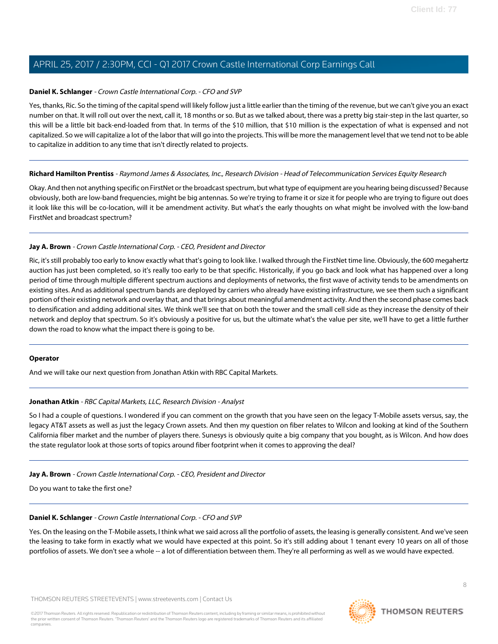#### **Daniel K. Schlanger** - Crown Castle International Corp. - CFO and SVP

Yes, thanks, Ric. So the timing of the capital spend will likely follow just a little earlier than the timing of the revenue, but we can't give you an exact number on that. It will roll out over the next, call it, 18 months or so. But as we talked about, there was a pretty big stair-step in the last quarter, so this will be a little bit back-end-loaded from that. In terms of the \$10 million, that \$10 million is the expectation of what is expensed and not capitalized. So we will capitalize a lot of the labor that will go into the projects. This will be more the management level that we tend not to be able to capitalize in addition to any time that isn't directly related to projects.

#### **Richard Hamilton Prentiss** - Raymond James & Associates, Inc., Research Division - Head of Telecommunication Services Equity Research

Okay. And then not anything specific on FirstNet or the broadcast spectrum, but what type of equipment are you hearing being discussed? Because obviously, both are low-band frequencies, might be big antennas. So we're trying to frame it or size it for people who are trying to figure out does it look like this will be co-location, will it be amendment activity. But what's the early thoughts on what might be involved with the low-band FirstNet and broadcast spectrum?

#### **Jay A. Brown** - Crown Castle International Corp. - CEO, President and Director

Ric, it's still probably too early to know exactly what that's going to look like. I walked through the FirstNet time line. Obviously, the 600 megahertz auction has just been completed, so it's really too early to be that specific. Historically, if you go back and look what has happened over a long period of time through multiple different spectrum auctions and deployments of networks, the first wave of activity tends to be amendments on existing sites. And as additional spectrum bands are deployed by carriers who already have existing infrastructure, we see them such a significant portion of their existing network and overlay that, and that brings about meaningful amendment activity. And then the second phase comes back to densification and adding additional sites. We think we'll see that on both the tower and the small cell side as they increase the density of their network and deploy that spectrum. So it's obviously a positive for us, but the ultimate what's the value per site, we'll have to get a little further down the road to know what the impact there is going to be.

#### <span id="page-7-0"></span>**Operator**

And we will take our next question from Jonathan Atkin with RBC Capital Markets.

#### **Jonathan Atkin** - RBC Capital Markets, LLC, Research Division - Analyst

So I had a couple of questions. I wondered if you can comment on the growth that you have seen on the legacy T-Mobile assets versus, say, the legacy AT&T assets as well as just the legacy Crown assets. And then my question on fiber relates to Wilcon and looking at kind of the Southern California fiber market and the number of players there. Sunesys is obviously quite a big company that you bought, as is Wilcon. And how does the state regulator look at those sorts of topics around fiber footprint when it comes to approving the deal?

#### **Jay A. Brown** - Crown Castle International Corp. - CEO, President and Director

Do you want to take the first one?

#### **Daniel K. Schlanger** - Crown Castle International Corp. - CFO and SVP

Yes. On the leasing on the T-Mobile assets, I think what we said across all the portfolio of assets, the leasing is generally consistent. And we've seen the leasing to take form in exactly what we would have expected at this point. So it's still adding about 1 tenant every 10 years on all of those portfolios of assets. We don't see a whole -- a lot of differentiation between them. They're all performing as well as we would have expected.

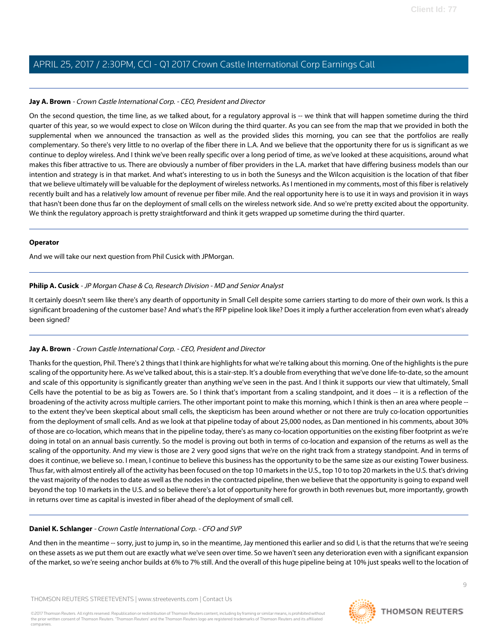#### **Jay A. Brown** - Crown Castle International Corp. - CEO, President and Director

On the second question, the time line, as we talked about, for a regulatory approval is -- we think that will happen sometime during the third quarter of this year, so we would expect to close on Wilcon during the third quarter. As you can see from the map that we provided in both the supplemental when we announced the transaction as well as the provided slides this morning, you can see that the portfolios are really complementary. So there's very little to no overlap of the fiber there in L.A. And we believe that the opportunity there for us is significant as we continue to deploy wireless. And I think we've been really specific over a long period of time, as we've looked at these acquisitions, around what makes this fiber attractive to us. There are obviously a number of fiber providers in the L.A. market that have differing business models than our intention and strategy is in that market. And what's interesting to us in both the Sunesys and the Wilcon acquisition is the location of that fiber that we believe ultimately will be valuable for the deployment of wireless networks. As I mentioned in my comments, most of this fiber is relatively recently built and has a relatively low amount of revenue per fiber mile. And the real opportunity here is to use it in ways and provision it in ways that hasn't been done thus far on the deployment of small cells on the wireless network side. And so we're pretty excited about the opportunity. We think the regulatory approach is pretty straightforward and think it gets wrapped up sometime during the third quarter.

#### **Operator**

<span id="page-8-0"></span>And we will take our next question from Phil Cusick with JPMorgan.

#### **Philip A. Cusick** - JP Morgan Chase & Co, Research Division - MD and Senior Analyst

It certainly doesn't seem like there's any dearth of opportunity in Small Cell despite some carriers starting to do more of their own work. Is this a significant broadening of the customer base? And what's the RFP pipeline look like? Does it imply a further acceleration from even what's already been signed?

#### **Jay A. Brown** - Crown Castle International Corp. - CEO, President and Director

Thanks for the question, Phil. There's 2 things that I think are highlights for what we're talking about this morning. One of the highlights is the pure scaling of the opportunity here. As we've talked about, this is a stair-step. It's a double from everything that we've done life-to-date, so the amount and scale of this opportunity is significantly greater than anything we've seen in the past. And I think it supports our view that ultimately, Small Cells have the potential to be as big as Towers are. So I think that's important from a scaling standpoint, and it does -- it is a reflection of the broadening of the activity across multiple carriers. The other important point to make this morning, which I think is then an area where people -to the extent they've been skeptical about small cells, the skepticism has been around whether or not there are truly co-location opportunities from the deployment of small cells. And as we look at that pipeline today of about 25,000 nodes, as Dan mentioned in his comments, about 30% of those are co-location, which means that in the pipeline today, there's as many co-location opportunities on the existing fiber footprint as we're doing in total on an annual basis currently. So the model is proving out both in terms of co-location and expansion of the returns as well as the scaling of the opportunity. And my view is those are 2 very good signs that we're on the right track from a strategy standpoint. And in terms of does it continue, we believe so. I mean, I continue to believe this business has the opportunity to be the same size as our existing Tower business. Thus far, with almost entirely all of the activity has been focused on the top 10 markets in the U.S., top 10 to top 20 markets in the U.S. that's driving the vast majority of the nodes to date as well as the nodes in the contracted pipeline, then we believe that the opportunity is going to expand well beyond the top 10 markets in the U.S. and so believe there's a lot of opportunity here for growth in both revenues but, more importantly, growth in returns over time as capital is invested in fiber ahead of the deployment of small cell.

#### **Daniel K. Schlanger** - Crown Castle International Corp. - CFO and SVP

And then in the meantime -- sorry, just to jump in, so in the meantime, Jay mentioned this earlier and so did I, is that the returns that we're seeing on these assets as we put them out are exactly what we've seen over time. So we haven't seen any deterioration even with a significant expansion of the market, so we're seeing anchor builds at 6% to 7% still. And the overall of this huge pipeline being at 10% just speaks well to the location of

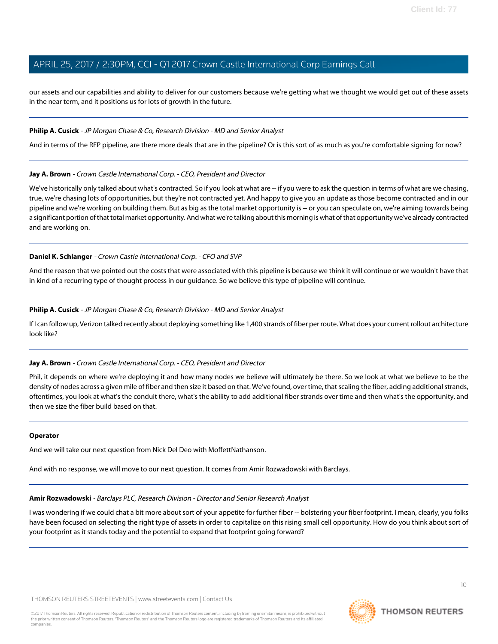our assets and our capabilities and ability to deliver for our customers because we're getting what we thought we would get out of these assets in the near term, and it positions us for lots of growth in the future.

#### **Philip A. Cusick** - JP Morgan Chase & Co, Research Division - MD and Senior Analyst

And in terms of the RFP pipeline, are there more deals that are in the pipeline? Or is this sort of as much as you're comfortable signing for now?

#### **Jay A. Brown** - Crown Castle International Corp. - CEO, President and Director

We've historically only talked about what's contracted. So if you look at what are -- if you were to ask the question in terms of what are we chasing, true, we're chasing lots of opportunities, but they're not contracted yet. And happy to give you an update as those become contracted and in our pipeline and we're working on building them. But as big as the total market opportunity is -- or you can speculate on, we're aiming towards being a significant portion of that total market opportunity. And what we're talking about this morning is what of that opportunity we've already contracted and are working on.

#### **Daniel K. Schlanger** - Crown Castle International Corp. - CFO and SVP

And the reason that we pointed out the costs that were associated with this pipeline is because we think it will continue or we wouldn't have that in kind of a recurring type of thought process in our guidance. So we believe this type of pipeline will continue.

#### **Philip A. Cusick** - JP Morgan Chase & Co, Research Division - MD and Senior Analyst

If I can follow up, Verizon talked recently about deploying something like 1,400 strands of fiber per route. What does your current rollout architecture look like?

#### **Jay A. Brown** - Crown Castle International Corp. - CEO, President and Director

Phil, it depends on where we're deploying it and how many nodes we believe will ultimately be there. So we look at what we believe to be the density of nodes across a given mile of fiber and then size it based on that. We've found, over time, that scaling the fiber, adding additional strands, oftentimes, you look at what's the conduit there, what's the ability to add additional fiber strands over time and then what's the opportunity, and then we size the fiber build based on that.

#### **Operator**

<span id="page-9-0"></span>And we will take our next question from Nick Del Deo with MoffettNathanson.

And with no response, we will move to our next question. It comes from Amir Rozwadowski with Barclays.

#### **Amir Rozwadowski** - Barclays PLC, Research Division - Director and Senior Research Analyst

I was wondering if we could chat a bit more about sort of your appetite for further fiber -- bolstering your fiber footprint. I mean, clearly, you folks have been focused on selecting the right type of assets in order to capitalize on this rising small cell opportunity. How do you think about sort of your footprint as it stands today and the potential to expand that footprint going forward?

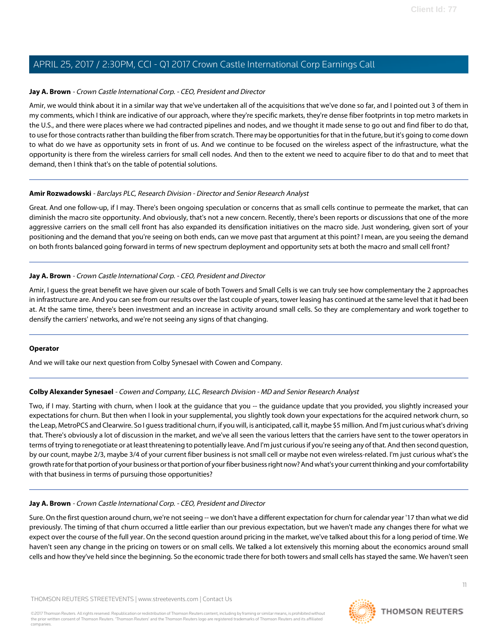#### **Jay A. Brown** - Crown Castle International Corp. - CEO, President and Director

Amir, we would think about it in a similar way that we've undertaken all of the acquisitions that we've done so far, and I pointed out 3 of them in my comments, which I think are indicative of our approach, where they're specific markets, they're dense fiber footprints in top metro markets in the U.S., and there were places where we had contracted pipelines and nodes, and we thought it made sense to go out and find fiber to do that, to use for those contracts rather than building the fiber from scratch. There may be opportunities for that in the future, but it's going to come down to what do we have as opportunity sets in front of us. And we continue to be focused on the wireless aspect of the infrastructure, what the opportunity is there from the wireless carriers for small cell nodes. And then to the extent we need to acquire fiber to do that and to meet that demand, then I think that's on the table of potential solutions.

#### **Amir Rozwadowski** - Barclays PLC, Research Division - Director and Senior Research Analyst

Great. And one follow-up, if I may. There's been ongoing speculation or concerns that as small cells continue to permeate the market, that can diminish the macro site opportunity. And obviously, that's not a new concern. Recently, there's been reports or discussions that one of the more aggressive carriers on the small cell front has also expanded its densification initiatives on the macro side. Just wondering, given sort of your positioning and the demand that you're seeing on both ends, can we move past that argument at this point? I mean, are you seeing the demand on both fronts balanced going forward in terms of new spectrum deployment and opportunity sets at both the macro and small cell front?

#### **Jay A. Brown** - Crown Castle International Corp. - CEO, President and Director

Amir, I guess the great benefit we have given our scale of both Towers and Small Cells is we can truly see how complementary the 2 approaches in infrastructure are. And you can see from our results over the last couple of years, tower leasing has continued at the same level that it had been at. At the same time, there's been investment and an increase in activity around small cells. So they are complementary and work together to densify the carriers' networks, and we're not seeing any signs of that changing.

#### <span id="page-10-0"></span>**Operator**

And we will take our next question from Colby Synesael with Cowen and Company.

#### **Colby Alexander Synesael** - Cowen and Company, LLC, Research Division - MD and Senior Research Analyst

Two, if I may. Starting with churn, when I look at the guidance that you -- the guidance update that you provided, you slightly increased your expectations for churn. But then when I look in your supplemental, you slightly took down your expectations for the acquired network churn, so the Leap, MetroPCS and Clearwire. So I guess traditional churn, if you will, is anticipated, call it, maybe \$5 million. And I'm just curious what's driving that. There's obviously a lot of discussion in the market, and we've all seen the various letters that the carriers have sent to the tower operators in terms of trying to renegotiate or at least threatening to potentially leave. And I'm just curious if you're seeing any of that. And then second question, by our count, maybe 2/3, maybe 3/4 of your current fiber business is not small cell or maybe not even wireless-related. I'm just curious what's the growth rate for that portion of your business or that portion of your fiber business right now? And what's your current thinking and your comfortability with that business in terms of pursuing those opportunities?

#### **Jay A. Brown** - Crown Castle International Corp. - CEO, President and Director

Sure. On the first question around churn, we're not seeing -- we don't have a different expectation for churn for calendar year '17 than what we did previously. The timing of that churn occurred a little earlier than our previous expectation, but we haven't made any changes there for what we expect over the course of the full year. On the second question around pricing in the market, we've talked about this for a long period of time. We haven't seen any change in the pricing on towers or on small cells. We talked a lot extensively this morning about the economics around small cells and how they've held since the beginning. So the economic trade there for both towers and small cells has stayed the same. We haven't seen

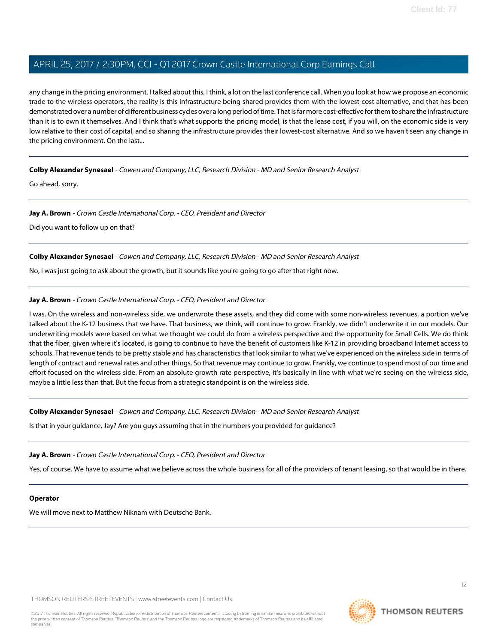any change in the pricing environment. I talked about this, I think, a lot on the last conference call. When you look at how we propose an economic trade to the wireless operators, the reality is this infrastructure being shared provides them with the lowest-cost alternative, and that has been demonstrated over a number of different business cycles over a long period of time. That is far more cost-effective for them to share the infrastructure than it is to own it themselves. And I think that's what supports the pricing model, is that the lease cost, if you will, on the economic side is very low relative to their cost of capital, and so sharing the infrastructure provides their lowest-cost alternative. And so we haven't seen any change in the pricing environment. On the last...

**Colby Alexander Synesael** - Cowen and Company, LLC, Research Division - MD and Senior Research Analyst

Go ahead, sorry.

#### **Jay A. Brown** - Crown Castle International Corp. - CEO, President and Director

Did you want to follow up on that?

#### **Colby Alexander Synesael** - Cowen and Company, LLC, Research Division - MD and Senior Research Analyst

No, I was just going to ask about the growth, but it sounds like you're going to go after that right now.

#### **Jay A. Brown** - Crown Castle International Corp. - CEO, President and Director

I was. On the wireless and non-wireless side, we underwrote these assets, and they did come with some non-wireless revenues, a portion we've talked about the K-12 business that we have. That business, we think, will continue to grow. Frankly, we didn't underwrite it in our models. Our underwriting models were based on what we thought we could do from a wireless perspective and the opportunity for Small Cells. We do think that the fiber, given where it's located, is going to continue to have the benefit of customers like K-12 in providing broadband Internet access to schools. That revenue tends to be pretty stable and has characteristics that look similar to what we've experienced on the wireless side in terms of length of contract and renewal rates and other things. So that revenue may continue to grow. Frankly, we continue to spend most of our time and effort focused on the wireless side. From an absolute growth rate perspective, it's basically in line with what we're seeing on the wireless side, maybe a little less than that. But the focus from a strategic standpoint is on the wireless side.

**Colby Alexander Synesael** - Cowen and Company, LLC, Research Division - MD and Senior Research Analyst

Is that in your guidance, Jay? Are you guys assuming that in the numbers you provided for guidance?

#### **Jay A. Brown** - Crown Castle International Corp. - CEO, President and Director

Yes, of course. We have to assume what we believe across the whole business for all of the providers of tenant leasing, so that would be in there.

#### **Operator**

We will move next to Matthew Niknam with Deutsche Bank.

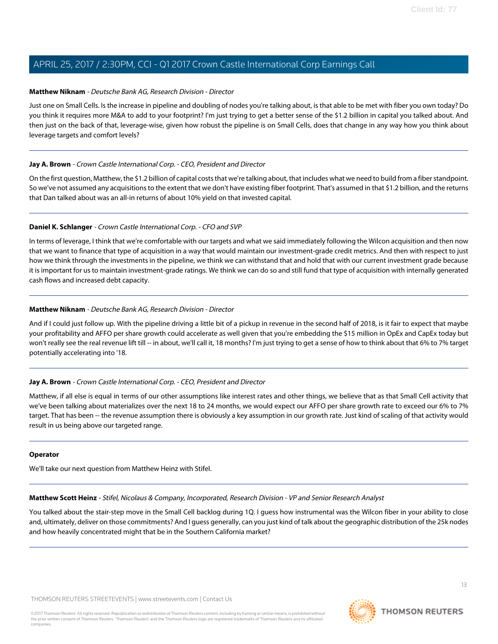#### <span id="page-12-0"></span>**Matthew Niknam** - Deutsche Bank AG, Research Division - Director

Just one on Small Cells. Is the increase in pipeline and doubling of nodes you're talking about, is that able to be met with fiber you own today? Do you think it requires more M&A to add to your footprint? I'm just trying to get a better sense of the \$1.2 billion in capital you talked about. And then just on the back of that, leverage-wise, given how robust the pipeline is on Small Cells, does that change in any way how you think about leverage targets and comfort levels?

#### **Jay A. Brown** - Crown Castle International Corp. - CEO, President and Director

On the first question, Matthew, the \$1.2 billion of capital costs that we're talking about, that includes what we need to build from a fiber standpoint. So we've not assumed any acquisitions to the extent that we don't have existing fiber footprint. That's assumed in that \$1.2 billion, and the returns that Dan talked about was an all-in returns of about 10% yield on that invested capital.

#### **Daniel K. Schlanger** - Crown Castle International Corp. - CFO and SVP

In terms of leverage, I think that we're comfortable with our targets and what we said immediately following the Wilcon acquisition and then now that we want to finance that type of acquisition in a way that would maintain our investment-grade credit metrics. And then with respect to just how we think through the investments in the pipeline, we think we can withstand that and hold that with our current investment grade because it is important for us to maintain investment-grade ratings. We think we can do so and still fund that type of acquisition with internally generated cash flows and increased debt capacity.

#### **Matthew Niknam** - Deutsche Bank AG, Research Division - Director

And if I could just follow up. With the pipeline driving a little bit of a pickup in revenue in the second half of 2018, is it fair to expect that maybe your profitability and AFFO per share growth could accelerate as well given that you're embedding the \$15 million in OpEx and CapEx today but won't really see the real revenue lift till -- in about, we'll call it, 18 months? I'm just trying to get a sense of how to think about that 6% to 7% target potentially accelerating into '18.

#### **Jay A. Brown** - Crown Castle International Corp. - CEO, President and Director

Matthew, if all else is equal in terms of our other assumptions like interest rates and other things, we believe that as that Small Cell activity that we've been talking about materializes over the next 18 to 24 months, we would expect our AFFO per share growth rate to exceed our 6% to 7% target. That has been -- the revenue assumption there is obviously a key assumption in our growth rate. Just kind of scaling of that activity would result in us being above our targeted range.

#### <span id="page-12-1"></span>**Operator**

We'll take our next question from Matthew Heinz with Stifel.

**Matthew Scott Heinz** - Stifel, Nicolaus & Company, Incorporated, Research Division - VP and Senior Research Analyst

You talked about the stair-step move in the Small Cell backlog during 1Q. I guess how instrumental was the Wilcon fiber in your ability to close and, ultimately, deliver on those commitments? And I guess generally, can you just kind of talk about the geographic distribution of the 25k nodes and how heavily concentrated might that be in the Southern California market?

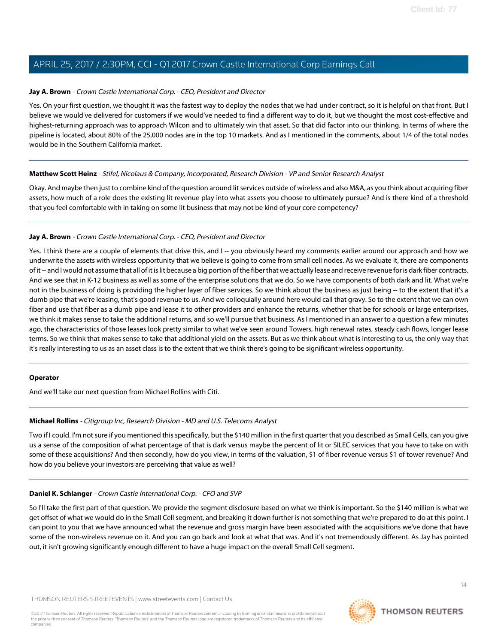#### **Jay A. Brown** - Crown Castle International Corp. - CEO, President and Director

Yes. On your first question, we thought it was the fastest way to deploy the nodes that we had under contract, so it is helpful on that front. But I believe we would've delivered for customers if we would've needed to find a different way to do it, but we thought the most cost-effective and highest-returning approach was to approach Wilcon and to ultimately win that asset. So that did factor into our thinking. In terms of where the pipeline is located, about 80% of the 25,000 nodes are in the top 10 markets. And as I mentioned in the comments, about 1/4 of the total nodes would be in the Southern California market.

#### **Matthew Scott Heinz** - Stifel, Nicolaus & Company, Incorporated, Research Division - VP and Senior Research Analyst

Okay. And maybe then just to combine kind of the question around lit services outside of wireless and also M&A, as you think about acquiring fiber assets, how much of a role does the existing lit revenue play into what assets you choose to ultimately pursue? And is there kind of a threshold that you feel comfortable with in taking on some lit business that may not be kind of your core competency?

#### **Jay A. Brown** - Crown Castle International Corp. - CEO, President and Director

Yes. I think there are a couple of elements that drive this, and I -- you obviously heard my comments earlier around our approach and how we underwrite the assets with wireless opportunity that we believe is going to come from small cell nodes. As we evaluate it, there are components of it -- and I would not assume that all of it is lit because a big portion of the fiber that we actually lease and receive revenue for is dark fiber contracts. And we see that in K-12 business as well as some of the enterprise solutions that we do. So we have components of both dark and lit. What we're not in the business of doing is providing the higher layer of fiber services. So we think about the business as just being -- to the extent that it's a dumb pipe that we're leasing, that's good revenue to us. And we colloquially around here would call that gravy. So to the extent that we can own fiber and use that fiber as a dumb pipe and lease it to other providers and enhance the returns, whether that be for schools or large enterprises, we think it makes sense to take the additional returns, and so we'll pursue that business. As I mentioned in an answer to a question a few minutes ago, the characteristics of those leases look pretty similar to what we've seen around Towers, high renewal rates, steady cash flows, longer lease terms. So we think that makes sense to take that additional yield on the assets. But as we think about what is interesting to us, the only way that it's really interesting to us as an asset class is to the extent that we think there's going to be significant wireless opportunity.

#### <span id="page-13-0"></span>**Operator**

And we'll take our next question from Michael Rollins with Citi.

#### **Michael Rollins** - Citigroup Inc, Research Division - MD and U.S. Telecoms Analyst

Two if I could. I'm not sure if you mentioned this specifically, but the \$140 million in the first quarter that you described as Small Cells, can you give us a sense of the composition of what percentage of that is dark versus maybe the percent of lit or SILEC services that you have to take on with some of these acquisitions? And then secondly, how do you view, in terms of the valuation, \$1 of fiber revenue versus \$1 of tower revenue? And how do you believe your investors are perceiving that value as well?

#### **Daniel K. Schlanger** - Crown Castle International Corp. - CFO and SVP

So I'll take the first part of that question. We provide the segment disclosure based on what we think is important. So the \$140 million is what we get offset of what we would do in the Small Cell segment, and breaking it down further is not something that we're prepared to do at this point. I can point to you that we have announced what the revenue and gross margin have been associated with the acquisitions we've done that have some of the non-wireless revenue on it. And you can go back and look at what that was. And it's not tremendously different. As Jay has pointed out, it isn't growing significantly enough different to have a huge impact on the overall Small Cell segment.



**THOMSON REUTERS**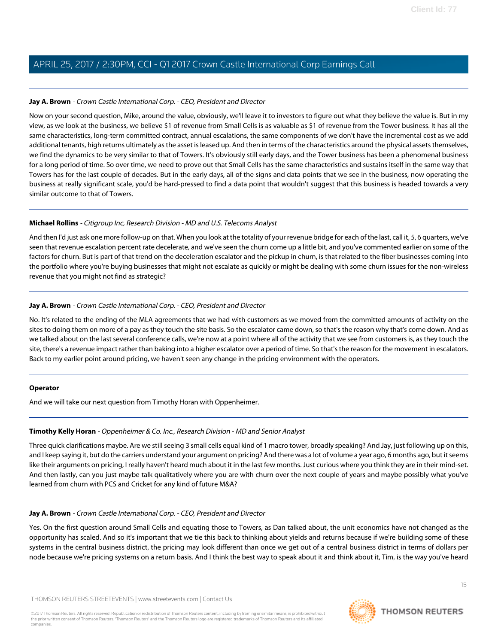#### **Jay A. Brown** - Crown Castle International Corp. - CEO, President and Director

Now on your second question, Mike, around the value, obviously, we'll leave it to investors to figure out what they believe the value is. But in my view, as we look at the business, we believe \$1 of revenue from Small Cells is as valuable as \$1 of revenue from the Tower business. It has all the same characteristics, long-term committed contract, annual escalations, the same components of we don't have the incremental cost as we add additional tenants, high returns ultimately as the asset is leased up. And then in terms of the characteristics around the physical assets themselves, we find the dynamics to be very similar to that of Towers. It's obviously still early days, and the Tower business has been a phenomenal business for a long period of time. So over time, we need to prove out that Small Cells has the same characteristics and sustains itself in the same way that Towers has for the last couple of decades. But in the early days, all of the signs and data points that we see in the business, now operating the business at really significant scale, you'd be hard-pressed to find a data point that wouldn't suggest that this business is headed towards a very similar outcome to that of Towers.

#### **Michael Rollins** - Citigroup Inc, Research Division - MD and U.S. Telecoms Analyst

And then I'd just ask one more follow-up on that. When you look at the totality of your revenue bridge for each of the last, call it, 5, 6 quarters, we've seen that revenue escalation percent rate decelerate, and we've seen the churn come up a little bit, and you've commented earlier on some of the factors for churn. But is part of that trend on the deceleration escalator and the pickup in churn, is that related to the fiber businesses coming into the portfolio where you're buying businesses that might not escalate as quickly or might be dealing with some churn issues for the non-wireless revenue that you might not find as strategic?

#### **Jay A. Brown** - Crown Castle International Corp. - CEO, President and Director

No. It's related to the ending of the MLA agreements that we had with customers as we moved from the committed amounts of activity on the sites to doing them on more of a pay as they touch the site basis. So the escalator came down, so that's the reason why that's come down. And as we talked about on the last several conference calls, we're now at a point where all of the activity that we see from customers is, as they touch the site, there's a revenue impact rather than baking into a higher escalator over a period of time. So that's the reason for the movement in escalators. Back to my earlier point around pricing, we haven't seen any change in the pricing environment with the operators.

#### <span id="page-14-0"></span>**Operator**

And we will take our next question from Timothy Horan with Oppenheimer.

#### **Timothy Kelly Horan** - Oppenheimer & Co. Inc., Research Division - MD and Senior Analyst

Three quick clarifications maybe. Are we still seeing 3 small cells equal kind of 1 macro tower, broadly speaking? And Jay, just following up on this, and I keep saying it, but do the carriers understand your argument on pricing? And there was a lot of volume a year ago, 6 months ago, but it seems like their arguments on pricing, I really haven't heard much about it in the last few months. Just curious where you think they are in their mind-set. And then lastly, can you just maybe talk qualitatively where you are with churn over the next couple of years and maybe possibly what you've learned from churn with PCS and Cricket for any kind of future M&A?

#### **Jay A. Brown** - Crown Castle International Corp. - CEO, President and Director

Yes. On the first question around Small Cells and equating those to Towers, as Dan talked about, the unit economics have not changed as the opportunity has scaled. And so it's important that we tie this back to thinking about yields and returns because if we're building some of these systems in the central business district, the pricing may look different than once we get out of a central business district in terms of dollars per node because we're pricing systems on a return basis. And I think the best way to speak about it and think about it, Tim, is the way you've heard

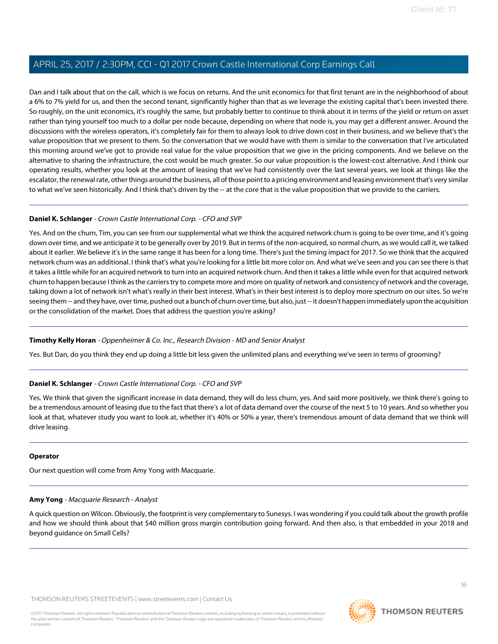Dan and I talk about that on the call, which is we focus on returns. And the unit economics for that first tenant are in the neighborhood of about a 6% to 7% yield for us, and then the second tenant, significantly higher than that as we leverage the existing capital that's been invested there. So roughly, on the unit economics, it's roughly the same, but probably better to continue to think about it in terms of the yield or return on asset rather than tying yourself too much to a dollar per node because, depending on where that node is, you may get a different answer. Around the discussions with the wireless operators, it's completely fair for them to always look to drive down cost in their business, and we believe that's the value proposition that we present to them. So the conversation that we would have with them is similar to the conversation that I've articulated this morning around we've got to provide real value for the value proposition that we give in the pricing components. And we believe on the alternative to sharing the infrastructure, the cost would be much greater. So our value proposition is the lowest-cost alternative. And I think our operating results, whether you look at the amount of leasing that we've had consistently over the last several years, we look at things like the escalator, the renewal rate, other things around the business, all of those point to a pricing environment and leasing environment that's very similar to what we've seen historically. And I think that's driven by the -- at the core that is the value proposition that we provide to the carriers.

#### **Daniel K. Schlanger** - Crown Castle International Corp. - CFO and SVP

Yes. And on the churn, Tim, you can see from our supplemental what we think the acquired network churn is going to be over time, and it's going down over time, and we anticipate it to be generally over by 2019. But in terms of the non-acquired, so normal churn, as we would call it, we talked about it earlier. We believe it's in the same range it has been for a long time. There's just the timing impact for 2017. So we think that the acquired network churn was an additional. I think that's what you're looking for a little bit more color on. And what we've seen and you can see there is that it takes a little while for an acquired network to turn into an acquired network churn. And then it takes a little while even for that acquired network churn to happen because I think as the carriers try to compete more and more on quality of network and consistency of network and the coverage, taking down a lot of network isn't what's really in their best interest. What's in their best interest is to deploy more spectrum on our sites. So we're seeing them -- and they have, over time, pushed out a bunch of churn over time, but also, just -- it doesn't happen immediately upon the acquisition or the consolidation of the market. Does that address the question you're asking?

#### **Timothy Kelly Horan** - Oppenheimer & Co. Inc., Research Division - MD and Senior Analyst

Yes. But Dan, do you think they end up doing a little bit less given the unlimited plans and everything we've seen in terms of grooming?

#### **Daniel K. Schlanger** - Crown Castle International Corp. - CFO and SVP

Yes. We think that given the significant increase in data demand, they will do less churn, yes. And said more positively, we think there's going to be a tremendous amount of leasing due to the fact that there's a lot of data demand over the course of the next 5 to 10 years. And so whether you look at that, whatever study you want to look at, whether it's 40% or 50% a year, there's tremendous amount of data demand that we think will drive leasing.

#### <span id="page-15-0"></span>**Operator**

Our next question will come from Amy Yong with Macquarie.

#### **Amy Yong** - Macquarie Research - Analyst

A quick question on Wilcon. Obviously, the footprint is very complementary to Sunesys. I was wondering if you could talk about the growth profile and how we should think about that \$40 million gross margin contribution going forward. And then also, is that embedded in your 2018 and beyond guidance on Small Cells?

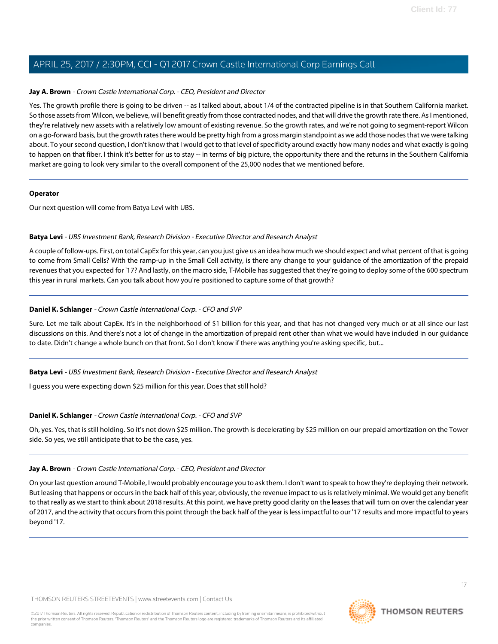#### **Jay A. Brown** - Crown Castle International Corp. - CEO, President and Director

Yes. The growth profile there is going to be driven -- as I talked about, about 1/4 of the contracted pipeline is in that Southern California market. So those assets from Wilcon, we believe, will benefit greatly from those contracted nodes, and that will drive the growth rate there. As I mentioned, they're relatively new assets with a relatively low amount of existing revenue. So the growth rates, and we're not going to segment-report Wilcon on a go-forward basis, but the growth rates there would be pretty high from a gross margin standpoint as we add those nodes that we were talking about. To your second question, I don't know that I would get to that level of specificity around exactly how many nodes and what exactly is going to happen on that fiber. I think it's better for us to stay -- in terms of big picture, the opportunity there and the returns in the Southern California market are going to look very similar to the overall component of the 25,000 nodes that we mentioned before.

#### **Operator**

<span id="page-16-0"></span>Our next question will come from Batya Levi with UBS.

#### **Batya Levi** - UBS Investment Bank, Research Division - Executive Director and Research Analyst

A couple of follow-ups. First, on total CapEx for this year, can you just give us an idea how much we should expect and what percent of that is going to come from Small Cells? With the ramp-up in the Small Cell activity, is there any change to your guidance of the amortization of the prepaid revenues that you expected for '17? And lastly, on the macro side, T-Mobile has suggested that they're going to deploy some of the 600 spectrum this year in rural markets. Can you talk about how you're positioned to capture some of that growth?

#### **Daniel K. Schlanger** - Crown Castle International Corp. - CFO and SVP

Sure. Let me talk about CapEx. It's in the neighborhood of \$1 billion for this year, and that has not changed very much or at all since our last discussions on this. And there's not a lot of change in the amortization of prepaid rent other than what we would have included in our guidance to date. Didn't change a whole bunch on that front. So I don't know if there was anything you're asking specific, but...

#### **Batya Levi** - UBS Investment Bank, Research Division - Executive Director and Research Analyst

I guess you were expecting down \$25 million for this year. Does that still hold?

#### **Daniel K. Schlanger** - Crown Castle International Corp. - CFO and SVP

Oh, yes. Yes, that is still holding. So it's not down \$25 million. The growth is decelerating by \$25 million on our prepaid amortization on the Tower side. So yes, we still anticipate that to be the case, yes.

#### **Jay A. Brown** - Crown Castle International Corp. - CEO, President and Director

On your last question around T-Mobile, I would probably encourage you to ask them. I don't want to speak to how they're deploying their network. But leasing that happens or occurs in the back half of this year, obviously, the revenue impact to us is relatively minimal. We would get any benefit to that really as we start to think about 2018 results. At this point, we have pretty good clarity on the leases that will turn on over the calendar year of 2017, and the activity that occurs from this point through the back half of the year is less impactful to our '17 results and more impactful to years beyond '17.

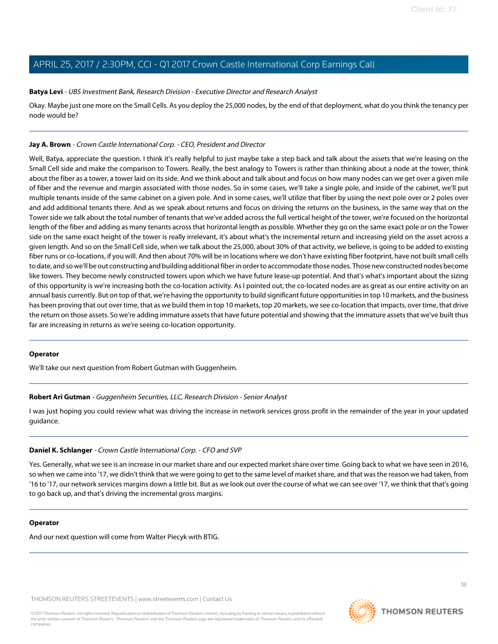#### **Batya Levi** - UBS Investment Bank, Research Division - Executive Director and Research Analyst

Okay. Maybe just one more on the Small Cells. As you deploy the 25,000 nodes, by the end of that deployment, what do you think the tenancy per node would be?

#### **Jay A. Brown** - Crown Castle International Corp. - CEO, President and Director

Well, Batya, appreciate the question. I think it's really helpful to just maybe take a step back and talk about the assets that we're leasing on the Small Cell side and make the comparison to Towers. Really, the best analogy to Towers is rather than thinking about a node at the tower, think about the fiber as a tower, a tower laid on its side. And we think about and talk about and focus on how many nodes can we get over a given mile of fiber and the revenue and margin associated with those nodes. So in some cases, we'll take a single pole, and inside of the cabinet, we'll put multiple tenants inside of the same cabinet on a given pole. And in some cases, we'll utilize that fiber by using the next pole over or 2 poles over and add additional tenants there. And as we speak about returns and focus on driving the returns on the business, in the same way that on the Tower side we talk about the total number of tenants that we've added across the full vertical height of the tower, we're focused on the horizontal length of the fiber and adding as many tenants across that horizontal length as possible. Whether they go on the same exact pole or on the Tower side on the same exact height of the tower is really irrelevant, it's about what's the incremental return and increasing yield on the asset across a given length. And so on the Small Cell side, when we talk about the 25,000, about 30% of that activity, we believe, is going to be added to existing fiber runs or co-locations, if you will. And then about 70% will be in locations where we don't have existing fiber footprint, have not built small cells to date, and so we'll be out constructing and building additional fiber in order to accommodate those nodes. Those new constructed nodes become like towers. They become newly constructed towers upon which we have future lease-up potential. And that's what's important about the sizing of this opportunity is we're increasing both the co-location activity. As I pointed out, the co-located nodes are as great as our entire activity on an annual basis currently. But on top of that, we're having the opportunity to build significant future opportunities in top 10 markets, and the business has been proving that out over time, that as we build them in top 10 markets, top 20 markets, we see co-location that impacts, over time, that drive the return on those assets. So we're adding immature assets that have future potential and showing that the immature assets that we've built thus far are increasing in returns as we're seeing co-location opportunity.

#### <span id="page-17-0"></span>**Operator**

We'll take our next question from Robert Gutman with Guggenheim.

#### **Robert Ari Gutman** - Guggenheim Securities, LLC, Research Division - Senior Analyst

I was just hoping you could review what was driving the increase in network services gross profit in the remainder of the year in your updated guidance.

#### **Daniel K. Schlanger** - Crown Castle International Corp. - CFO and SVP

Yes. Generally, what we see is an increase in our market share and our expected market share over time. Going back to what we have seen in 2016, so when we came into '17, we didn't think that we were going to get to the same level of market share, and that was the reason we had taken, from '16 to '17, our network services margins down a little bit. But as we look out over the course of what we can see over '17, we think that that's going to go back up, and that's driving the incremental gross margins.

#### **Operator**

And our next question will come from Walter Piecyk with BTIG.



18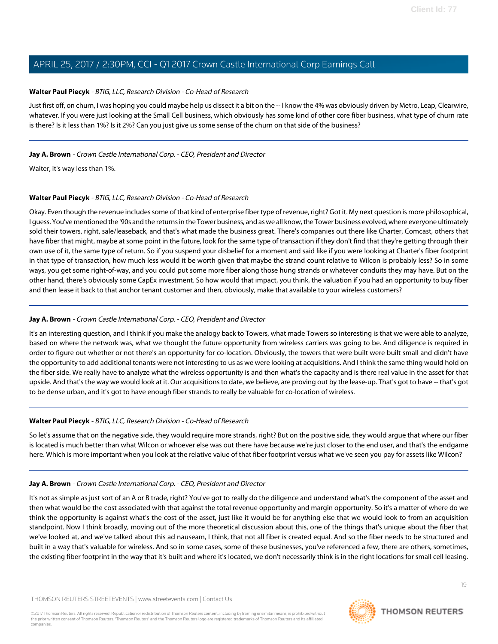#### <span id="page-18-0"></span>**Walter Paul Piecyk** - BTIG, LLC, Research Division - Co-Head of Research

Just first off, on churn, I was hoping you could maybe help us dissect it a bit on the -- I know the 4% was obviously driven by Metro, Leap, Clearwire, whatever. If you were just looking at the Small Cell business, which obviously has some kind of other core fiber business, what type of churn rate is there? Is it less than 1%? Is it 2%? Can you just give us some sense of the churn on that side of the business?

#### **Jay A. Brown** - Crown Castle International Corp. - CEO, President and Director

Walter, it's way less than 1%.

#### **Walter Paul Piecyk** - BTIG, LLC, Research Division - Co-Head of Research

Okay. Even though the revenue includes some of that kind of enterprise fiber type of revenue, right? Got it. My next question is more philosophical, I guess. You've mentioned the '90s and the returns in the Tower business, and as we all know, the Tower business evolved, where everyone ultimately sold their towers, right, sale/leaseback, and that's what made the business great. There's companies out there like Charter, Comcast, others that have fiber that might, maybe at some point in the future, look for the same type of transaction if they don't find that they're getting through their own use of it, the same type of return. So if you suspend your disbelief for a moment and said like if you were looking at Charter's fiber footprint in that type of transaction, how much less would it be worth given that maybe the strand count relative to Wilcon is probably less? So in some ways, you get some right-of-way, and you could put some more fiber along those hung strands or whatever conduits they may have. But on the other hand, there's obviously some CapEx investment. So how would that impact, you think, the valuation if you had an opportunity to buy fiber and then lease it back to that anchor tenant customer and then, obviously, make that available to your wireless customers?

#### **Jay A. Brown** - Crown Castle International Corp. - CEO, President and Director

It's an interesting question, and I think if you make the analogy back to Towers, what made Towers so interesting is that we were able to analyze, based on where the network was, what we thought the future opportunity from wireless carriers was going to be. And diligence is required in order to figure out whether or not there's an opportunity for co-location. Obviously, the towers that were built were built small and didn't have the opportunity to add additional tenants were not interesting to us as we were looking at acquisitions. And I think the same thing would hold on the fiber side. We really have to analyze what the wireless opportunity is and then what's the capacity and is there real value in the asset for that upside. And that's the way we would look at it. Our acquisitions to date, we believe, are proving out by the lease-up. That's got to have -- that's got to be dense urban, and it's got to have enough fiber strands to really be valuable for co-location of wireless.

#### **Walter Paul Piecyk** - BTIG, LLC, Research Division - Co-Head of Research

So let's assume that on the negative side, they would require more strands, right? But on the positive side, they would argue that where our fiber is located is much better than what Wilcon or whoever else was out there have because we're just closer to the end user, and that's the endgame here. Which is more important when you look at the relative value of that fiber footprint versus what we've seen you pay for assets like Wilcon?

#### **Jay A. Brown** - Crown Castle International Corp. - CEO, President and Director

It's not as simple as just sort of an A or B trade, right? You've got to really do the diligence and understand what's the component of the asset and then what would be the cost associated with that against the total revenue opportunity and margin opportunity. So it's a matter of where do we think the opportunity is against what's the cost of the asset, just like it would be for anything else that we would look to from an acquisition standpoint. Now I think broadly, moving out of the more theoretical discussion about this, one of the things that's unique about the fiber that we've looked at, and we've talked about this ad nauseam, I think, that not all fiber is created equal. And so the fiber needs to be structured and built in a way that's valuable for wireless. And so in some cases, some of these businesses, you've referenced a few, there are others, sometimes, the existing fiber footprint in the way that it's built and where it's located, we don't necessarily think is in the right locations for small cell leasing.

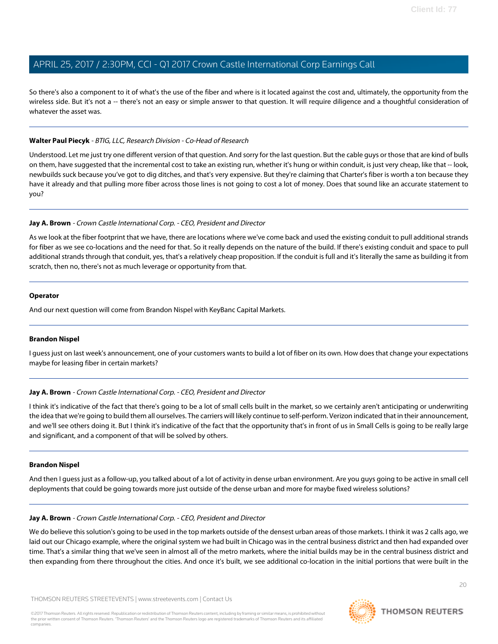So there's also a component to it of what's the use of the fiber and where is it located against the cost and, ultimately, the opportunity from the wireless side. But it's not a -- there's not an easy or simple answer to that question. It will require diligence and a thoughtful consideration of whatever the asset was.

#### **Walter Paul Piecyk** - BTIG, LLC, Research Division - Co-Head of Research

Understood. Let me just try one different version of that question. And sorry for the last question. But the cable guys or those that are kind of bulls on them, have suggested that the incremental cost to take an existing run, whether it's hung or within conduit, is just very cheap, like that -- look, newbuilds suck because you've got to dig ditches, and that's very expensive. But they're claiming that Charter's fiber is worth a ton because they have it already and that pulling more fiber across those lines is not going to cost a lot of money. Does that sound like an accurate statement to you?

#### **Jay A. Brown** - Crown Castle International Corp. - CEO, President and Director

As we look at the fiber footprint that we have, there are locations where we've come back and used the existing conduit to pull additional strands for fiber as we see co-locations and the need for that. So it really depends on the nature of the build. If there's existing conduit and space to pull additional strands through that conduit, yes, that's a relatively cheap proposition. If the conduit is full and it's literally the same as building it from scratch, then no, there's not as much leverage or opportunity from that.

#### **Operator**

<span id="page-19-0"></span>And our next question will come from Brandon Nispel with KeyBanc Capital Markets.

#### **Brandon Nispel**

I guess just on last week's announcement, one of your customers wants to build a lot of fiber on its own. How does that change your expectations maybe for leasing fiber in certain markets?

#### **Jay A. Brown** - Crown Castle International Corp. - CEO, President and Director

I think it's indicative of the fact that there's going to be a lot of small cells built in the market, so we certainly aren't anticipating or underwriting the idea that we're going to build them all ourselves. The carriers will likely continue to self-perform. Verizon indicated that in their announcement, and we'll see others doing it. But I think it's indicative of the fact that the opportunity that's in front of us in Small Cells is going to be really large and significant, and a component of that will be solved by others.

#### **Brandon Nispel**

And then I guess just as a follow-up, you talked about of a lot of activity in dense urban environment. Are you guys going to be active in small cell deployments that could be going towards more just outside of the dense urban and more for maybe fixed wireless solutions?

#### **Jay A. Brown** - Crown Castle International Corp. - CEO, President and Director

We do believe this solution's going to be used in the top markets outside of the densest urban areas of those markets. I think it was 2 calls ago, we laid out our Chicago example, where the original system we had built in Chicago was in the central business district and then had expanded over time. That's a similar thing that we've seen in almost all of the metro markets, where the initial builds may be in the central business district and then expanding from there throughout the cities. And once it's built, we see additional co-location in the initial portions that were built in the

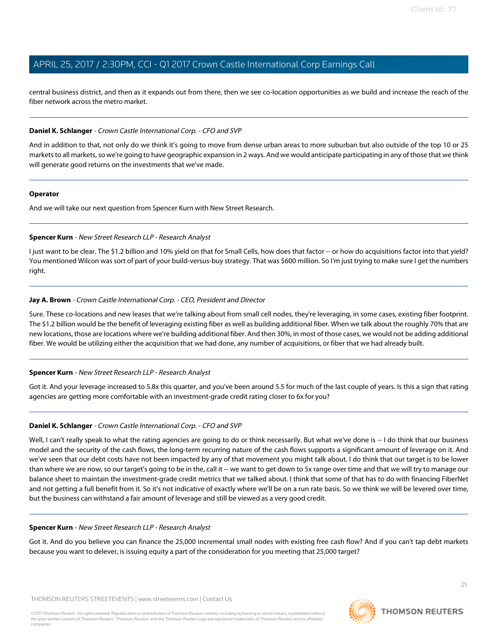central business district, and then as it expands out from there, then we see co-location opportunities as we build and increase the reach of the fiber network across the metro market.

#### **Daniel K. Schlanger** - Crown Castle International Corp. - CFO and SVP

And in addition to that, not only do we think it's going to move from dense urban areas to more suburban but also outside of the top 10 or 25 markets to all markets, so we're going to have geographic expansion in 2 ways. And we would anticipate participating in any of those that we think will generate good returns on the investments that we've made.

#### **Operator**

<span id="page-20-0"></span>And we will take our next question from Spencer Kurn with New Street Research.

#### **Spencer Kurn** - New Street Research LLP - Research Analyst

I just want to be clear. The \$1.2 billion and 10% yield on that for Small Cells, how does that factor -- or how do acquisitions factor into that yield? You mentioned Wilcon was sort of part of your build-versus-buy strategy. That was \$600 million. So I'm just trying to make sure I get the numbers right.

#### **Jay A. Brown** - Crown Castle International Corp. - CEO, President and Director

Sure. These co-locations and new leases that we're talking about from small cell nodes, they're leveraging, in some cases, existing fiber footprint. The \$1.2 billion would be the benefit of leveraging existing fiber as well as building additional fiber. When we talk about the roughly 70% that are new locations, those are locations where we're building additional fiber. And then 30%, in most of those cases, we would not be adding additional fiber. We would be utilizing either the acquisition that we had done, any number of acquisitions, or fiber that we had already built.

#### **Spencer Kurn** - New Street Research LLP - Research Analyst

Got it. And your leverage increased to 5.8x this quarter, and you've been around 5.5 for much of the last couple of years. Is this a sign that rating agencies are getting more comfortable with an investment-grade credit rating closer to 6x for you?

#### **Daniel K. Schlanger** - Crown Castle International Corp. - CFO and SVP

Well, I can't really speak to what the rating agencies are going to do or think necessarily. But what we've done is -- I do think that our business model and the security of the cash flows, the long-term recurring nature of the cash flows supports a significant amount of leverage on it. And we've seen that our debt costs have not been impacted by any of that movement you might talk about. I do think that our target is to be lower than where we are now, so our target's going to be in the, call it -- we want to get down to 5x range over time and that we will try to manage our balance sheet to maintain the investment-grade credit metrics that we talked about. I think that some of that has to do with financing FiberNet and not getting a full benefit from it. So it's not indicative of exactly where we'll be on a run rate basis. So we think we will be levered over time, but the business can withstand a fair amount of leverage and still be viewed as a very good credit.

#### **Spencer Kurn** - New Street Research LLP - Research Analyst

Got it. And do you believe you can finance the 25,000 incremental small nodes with existing free cash flow? And if you can't tap debt markets because you want to delever, is issuing equity a part of the consideration for you meeting that 25,000 target?

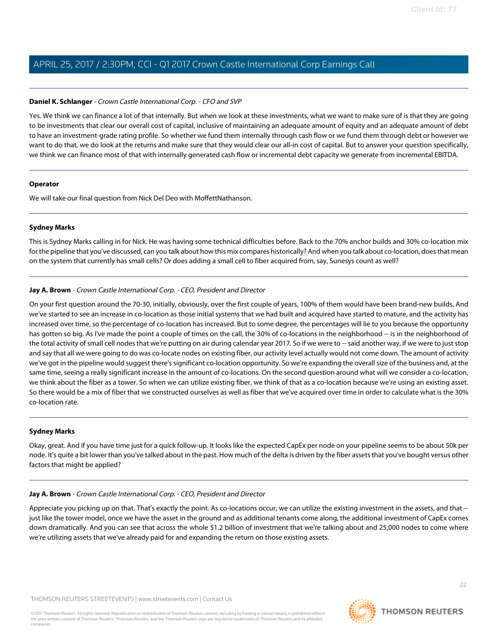#### **Daniel K. Schlanger** - Crown Castle International Corp. - CFO and SVP

Yes. We think we can finance a lot of that internally. But when we look at these investments, what we want to make sure of is that they are going to be investments that clear our overall cost of capital, inclusive of maintaining an adequate amount of equity and an adequate amount of debt to have an investment-grade rating profile. So whether we fund them internally through cash flow or we fund them through debt or however we want to do that, we do look at the returns and make sure that they would clear our all-in cost of capital. But to answer your question specifically, we think we can finance most of that with internally generated cash flow or incremental debt capacity we generate from incremental EBITDA.

#### **Operator**

<span id="page-21-0"></span>We will take our final question from Nick Del Deo with MoffettNathanson.

#### **Sydney Marks**

This is Sydney Marks calling in for Nick. He was having some technical difficulties before. Back to the 70% anchor builds and 30% co-location mix for the pipeline that you've discussed, can you talk about how this mix compares historically? And when you talk about co-location, does that mean on the system that currently has small cells? Or does adding a small cell to fiber acquired from, say, Sunesys count as well?

#### **Jay A. Brown** - Crown Castle International Corp. - CEO, President and Director

On your first question around the 70-30, initially, obviously, over the first couple of years, 100% of them would have been brand-new builds. And we've started to see an increase in co-location as those initial systems that we had built and acquired have started to mature, and the activity has increased over time, so the percentage of co-location has increased. But to some degree, the percentages will lie to you because the opportunity has gotten so big. As I've made the point a couple of times on the call, the 30% of co-locations in the neighborhood -- is in the neighborhood of the total activity of small cell nodes that we're putting on air during calendar year 2017. So if we were to -- said another way, if we were to just stop and say that all we were going to do was co-locate nodes on existing fiber, our activity level actually would not come down. The amount of activity we've got in the pipeline would suggest there's significant co-location opportunity. So we're expanding the overall size of the business and, at the same time, seeing a really significant increase in the amount of co-locations. On the second question around what will we consider a co-location, we think about the fiber as a tower. So when we can utilize existing fiber, we think of that as a co-location because we're using an existing asset. So there would be a mix of fiber that we constructed ourselves as well as fiber that we've acquired over time in order to calculate what is the 30% co-location rate.

#### **Sydney Marks**

Okay, great. And if you have time just for a quick follow-up. It looks like the expected CapEx per node on your pipeline seems to be about 50k per node. It's quite a bit lower than you've talked about in the past. How much of the delta is driven by the fiber assets that you've bought versus other factors that might be applied?

#### **Jay A. Brown** - Crown Castle International Corp. - CEO, President and Director

Appreciate you picking up on that. That's exactly the point. As co-locations occur, we can utilize the existing investment in the assets, and that - just like the tower model, once we have the asset in the ground and as additional tenants come along, the additional investment of CapEx comes down dramatically. And you can see that across the whole \$1.2 billion of investment that we're talking about and 25,000 nodes to come where we're utilizing assets that we've already paid for and expanding the return on those existing assets.